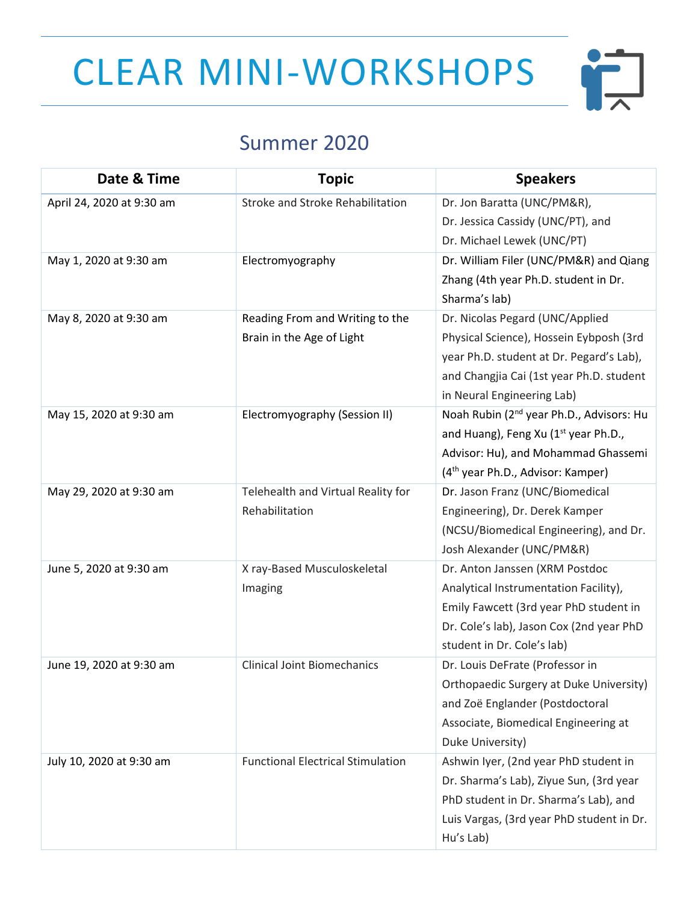## CLEAR MINI-WORKSHOPS



## Summer 2020

| Date & Time               | <b>Topic</b>                             | <b>Speakers</b>                                      |
|---------------------------|------------------------------------------|------------------------------------------------------|
| April 24, 2020 at 9:30 am | Stroke and Stroke Rehabilitation         | Dr. Jon Baratta (UNC/PM&R),                          |
|                           |                                          | Dr. Jessica Cassidy (UNC/PT), and                    |
|                           |                                          | Dr. Michael Lewek (UNC/PT)                           |
| May 1, 2020 at 9:30 am    | Electromyography                         | Dr. William Filer (UNC/PM&R) and Qiang               |
|                           |                                          | Zhang (4th year Ph.D. student in Dr.                 |
|                           |                                          | Sharma's lab)                                        |
| May 8, 2020 at 9:30 am    | Reading From and Writing to the          | Dr. Nicolas Pegard (UNC/Applied                      |
|                           | Brain in the Age of Light                | Physical Science), Hossein Eybposh (3rd              |
|                           |                                          | year Ph.D. student at Dr. Pegard's Lab),             |
|                           |                                          | and Changjia Cai (1st year Ph.D. student             |
|                           |                                          | in Neural Engineering Lab)                           |
| May 15, 2020 at 9:30 am   | Electromyography (Session II)            | Noah Rubin (2 <sup>nd</sup> year Ph.D., Advisors: Hu |
|                           |                                          | and Huang), Feng Xu (1 <sup>st</sup> year Ph.D.,     |
|                           |                                          | Advisor: Hu), and Mohammad Ghassemi                  |
|                           |                                          | (4 <sup>th</sup> year Ph.D., Advisor: Kamper)        |
| May 29, 2020 at 9:30 am   | Telehealth and Virtual Reality for       | Dr. Jason Franz (UNC/Biomedical                      |
|                           | Rehabilitation                           | Engineering), Dr. Derek Kamper                       |
|                           |                                          | (NCSU/Biomedical Engineering), and Dr.               |
|                           |                                          | Josh Alexander (UNC/PM&R)                            |
| June 5, 2020 at 9:30 am   | X ray-Based Musculoskeletal              | Dr. Anton Janssen (XRM Postdoc                       |
|                           | Imaging                                  | Analytical Instrumentation Facility),                |
|                           |                                          | Emily Fawcett (3rd year PhD student in               |
|                           |                                          | Dr. Cole's lab), Jason Cox (2nd year PhD             |
|                           |                                          | student in Dr. Cole's lab)                           |
| June 19, 2020 at 9:30 am  | <b>Clinical Joint Biomechanics</b>       | Dr. Louis DeFrate (Professor in                      |
|                           |                                          | Orthopaedic Surgery at Duke University)              |
|                           |                                          | and Zoë Englander (Postdoctoral                      |
|                           |                                          | Associate, Biomedical Engineering at                 |
|                           |                                          | Duke University)                                     |
| July 10, 2020 at 9:30 am  | <b>Functional Electrical Stimulation</b> | Ashwin Iyer, (2nd year PhD student in                |
|                           |                                          | Dr. Sharma's Lab), Ziyue Sun, (3rd year              |
|                           |                                          | PhD student in Dr. Sharma's Lab), and                |
|                           |                                          | Luis Vargas, (3rd year PhD student in Dr.            |
|                           |                                          | Hu's Lab)                                            |